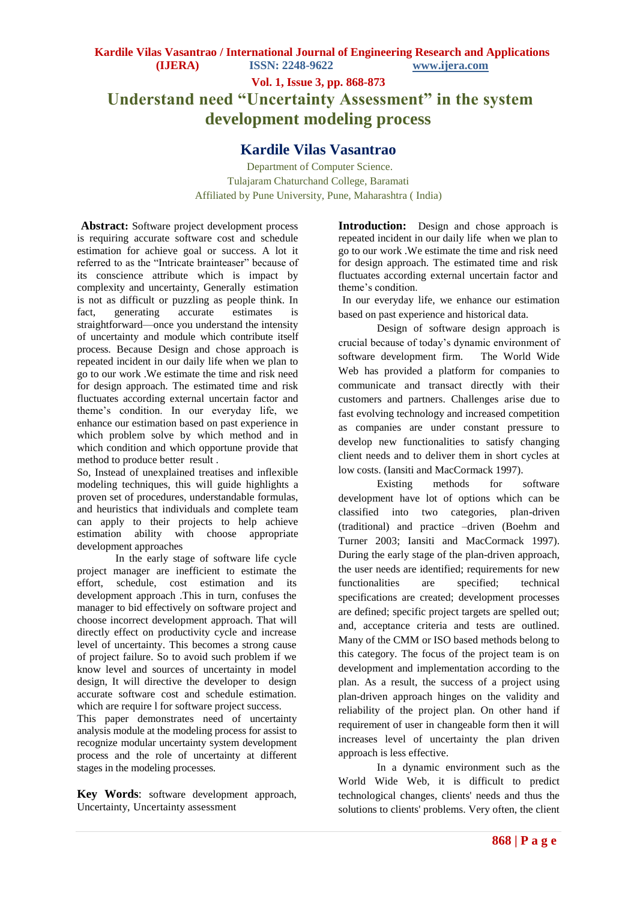**Vol. 1, Issue 3, pp. 868-873 Understand need "Uncertainty Assessment" in the system development modeling process**

# **Kardile Vilas Vasantrao**

Department of Computer Science. Tulajaram Chaturchand College, Baramati Affiliated by Pune University, Pune, Maharashtra ( India)

**Abstract:** Software project development process is requiring accurate software cost and schedule estimation for achieve goal or success. A lot it referred to as the "Intricate brainteaser" because of its conscience attribute which is impact by complexity and uncertainty, Generally estimation is not as difficult or puzzling as people think. In fact, generating accurate estimates is straightforward—once you understand the intensity of uncertainty and module which contribute itself process. Because Design and chose approach is repeated incident in our daily life when we plan to go to our work .We estimate the time and risk need for design approach. The estimated time and risk fluctuates according external uncertain factor and theme's condition. In our everyday life, we enhance our estimation based on past experience in which problem solve by which method and in which condition and which opportune provide that method to produce better result .

So, Instead of unexplained treatises and inflexible modeling techniques, this will guide highlights a proven set of procedures, understandable formulas, and heuristics that individuals and complete team can apply to their projects to help achieve estimation ability with choose appropriate development approaches

In the early stage of software life cycle project manager are inefficient to estimate the effort, schedule, cost estimation and its development approach .This in turn, confuses the manager to bid effectively on software project and choose incorrect development approach. That will directly effect on productivity cycle and increase level of uncertainty. This becomes a strong cause of project failure. So to avoid such problem if we know level and sources of uncertainty in model design, It will directive the developer to design accurate software cost and schedule estimation. which are require l for software project success.

This paper demonstrates need of uncertainty analysis module at the modeling process for assist to recognize modular uncertainty system development process and the role of uncertainty at different stages in the modeling processes.

**Key Words**: software development approach, Uncertainty, Uncertainty assessment

**Introduction:** Design and chose approach is repeated incident in our daily life when we plan to go to our work .We estimate the time and risk need for design approach. The estimated time and risk fluctuates according external uncertain factor and theme's condition.

In our everyday life, we enhance our estimation based on past experience and historical data.

Design of software design approach is crucial because of today's dynamic environment of software development firm. The World Wide Web has provided a platform for companies to communicate and transact directly with their customers and partners. Challenges arise due to fast evolving technology and increased competition as companies are under constant pressure to develop new functionalities to satisfy changing client needs and to deliver them in short cycles at low costs. (Iansiti and MacCormack 1997).

Existing methods for software development have lot of options which can be classified into two categories, plan-driven (traditional) and practice –driven (Boehm and Turner 2003; Iansiti and MacCormack 1997). During the early stage of the plan-driven approach, the user needs are identified; requirements for new functionalities are specified; technical specifications are created; development processes are defined; specific project targets are spelled out; and, acceptance criteria and tests are outlined. Many of the CMM or ISO based methods belong to this category. The focus of the project team is on development and implementation according to the plan. As a result, the success of a project using plan-driven approach hinges on the validity and reliability of the project plan. On other hand if requirement of user in changeable form then it will increases level of uncertainty the plan driven approach is less effective.

In a dynamic environment such as the World Wide Web, it is difficult to predict technological changes, clients' needs and thus the solutions to clients' problems. Very often, the client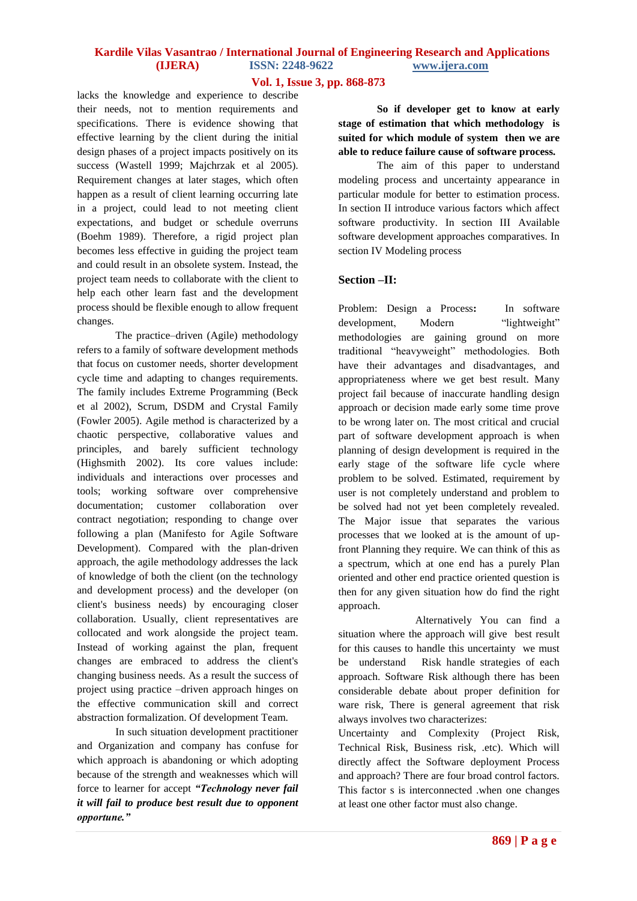### **Vol. 1, Issue 3, pp. 868-873**

lacks the knowledge and experience to describe their needs, not to mention requirements and specifications. There is evidence showing that effective learning by the client during the initial design phases of a project impacts positively on its success (Wastell 1999; Majchrzak et al 2005). Requirement changes at later stages, which often happen as a result of client learning occurring late in a project, could lead to not meeting client expectations, and budget or schedule overruns (Boehm 1989). Therefore, a rigid project plan becomes less effective in guiding the project team and could result in an obsolete system. Instead, the project team needs to collaborate with the client to help each other learn fast and the development process should be flexible enough to allow frequent changes.

The practice–driven (Agile) methodology refers to a family of software development methods that focus on customer needs, shorter development cycle time and adapting to changes requirements. The family includes Extreme Programming (Beck et al 2002), Scrum, DSDM and Crystal Family (Fowler 2005). Agile method is characterized by a chaotic perspective, collaborative values and principles, and barely sufficient technology (Highsmith 2002). Its core values include: individuals and interactions over processes and tools; working software over comprehensive documentation; customer collaboration over contract negotiation; responding to change over following a plan (Manifesto for Agile Software Development). Compared with the plan-driven approach, the agile methodology addresses the lack of knowledge of both the client (on the technology and development process) and the developer (on client's business needs) by encouraging closer collaboration. Usually, client representatives are collocated and work alongside the project team. Instead of working against the plan, frequent changes are embraced to address the client's changing business needs. As a result the success of project using practice –driven approach hinges on the effective communication skill and correct abstraction formalization. Of development Team.

In such situation development practitioner and Organization and company has confuse for which approach is abandoning or which adopting because of the strength and weaknesses which will force to learner for accept *"Technology never fail it will fail to produce best result due to opponent opportune."* 

**So if developer get to know at early stage of estimation that which methodology is suited for which module of system then we are able to reduce failure cause of software process***.* 

The aim of this paper to understand modeling process and uncertainty appearance in particular module for better to estimation process. In section II introduce various factors which affect software productivity. In section III Available software development approaches comparatives. In section IV Modeling process

## **Section –II:**

Problem: Design a Process**:** In software development, Modern 
"lightweight" methodologies are gaining ground on more traditional "heavyweight" methodologies. Both have their advantages and disadvantages, and appropriateness where we get best result. Many project fail because of inaccurate handling design approach or decision made early some time prove to be wrong later on. The most critical and crucial part of software development approach is when planning of design development is required in the early stage of the software life cycle where problem to be solved. Estimated, requirement by user is not completely understand and problem to be solved had not yet been completely revealed. The Major issue that separates the various processes that we looked at is the amount of upfront Planning they require. We can think of this as a spectrum, which at one end has a purely Plan oriented and other end practice oriented question is then for any given situation how do find the right approach.

Alternatively You can find a situation where the approach will give best result for this causes to handle this uncertainty we must be understand Risk handle strategies of each approach. Software Risk although there has been considerable debate about proper definition for ware risk, There is general agreement that risk always involves two characterizes:

Uncertainty and Complexity (Project Risk, Technical Risk, Business risk, .etc). Which will directly affect the Software deployment Process and approach? There are four broad control factors. This factor s is interconnected .when one changes at least one other factor must also change.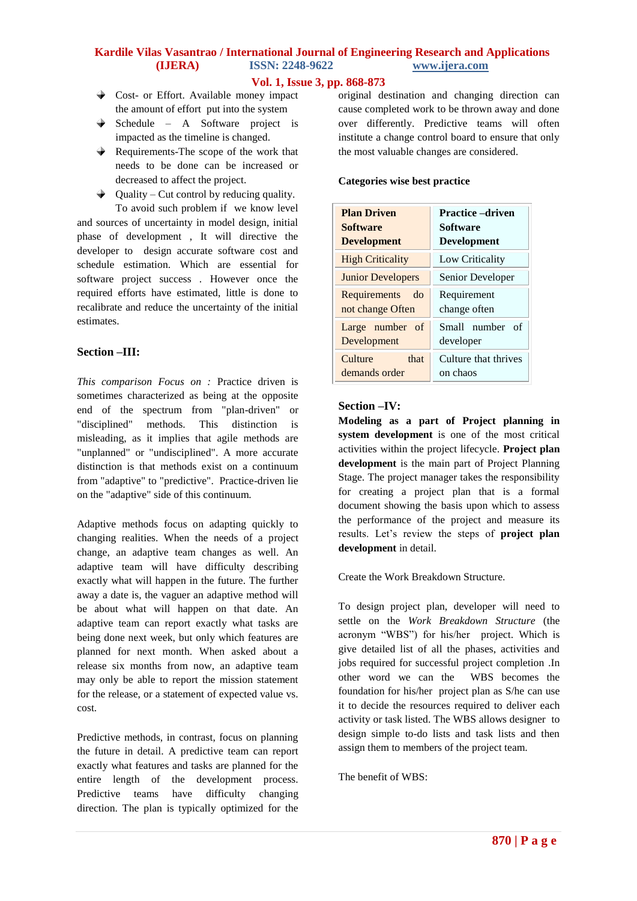## **Vol. 1, Issue 3, pp. 868-873**

- Cost- or Effort. Available money impact the amount of effort put into the system
- $\rightarrow$  Schedule A Software project is impacted as the timeline is changed.
- **★** Requirements-The scope of the work that needs to be done can be increased or decreased to affect the project.
- $\rightarrow$  Ouality Cut control by reducing quality.

To avoid such problem if we know level and sources of uncertainty in model design, initial phase of development , It will directive the developer to design accurate software cost and schedule estimation. Which are essential for software project success . However once the required efforts have estimated, little is done to recalibrate and reduce the uncertainty of the initial estimates.

### **Section –III:**

*This comparison Focus on :* Practice driven is sometimes characterized as being at the opposite end of the spectrum from "plan-driven" or "disciplined" methods. This distinction is misleading, as it implies that agile methods are "unplanned" or "undisciplined". A more accurate distinction is that methods exist on a continuum from "adaptive" to "predictive". Practice-driven lie on the "adaptive" side of this continuum.

Adaptive methods focus on adapting quickly to changing realities. When the needs of a project change, an adaptive team changes as well. An adaptive team will have difficulty describing exactly what will happen in the future. The further away a date is, the vaguer an adaptive method will be about what will happen on that date. An adaptive team can report exactly what tasks are being done next week, but only which features are planned for next month. When asked about a release six months from now, an adaptive team may only be able to report the mission statement for the release, or a statement of expected value vs. cost.

Predictive methods, in contrast, focus on planning the future in detail. A predictive team can report exactly what features and tasks are planned for the entire length of the development process. Predictive teams have difficulty changing direction. The plan is typically optimized for the

original destination and changing direction can cause completed work to be thrown away and done over differently. Predictive teams will often institute a change control board to ensure that only the most valuable changes are considered.

#### **Categories wise best practice**

| <b>Plan Driven</b><br><b>Software</b><br><b>Development</b> | <b>Practice-driven</b><br>Software<br><b>Development</b> |
|-------------------------------------------------------------|----------------------------------------------------------|
| <b>High Criticality</b>                                     | Low Criticality                                          |
| <b>Junior Developers</b>                                    | Senior Developer                                         |
| Requirements<br>do<br>not change Often                      | Requirement<br>change often                              |
| Large number of<br>Development                              | Small number of<br>developer                             |
| Culture<br>that<br>demands order                            | Culture that thrives<br>on chaos                         |

## **Section –IV:**

**Modeling as a part of Project planning in system development** is one of the most critical activities within the project lifecycle. **Project plan development** is the main part of Project Planning Stage. The project manager takes the responsibility for creating a project plan that is a formal document showing the basis upon which to assess the performance of the project and measure its results. Let's review the steps of **project plan development** in detail.

Create the Work Breakdown Structure.

To design project plan, developer will need to settle on the *Work Breakdown Structure* (the acronym "WBS") for his/her project. Which is give detailed list of all the phases, activities and jobs required for successful project completion .In other word we can the WBS becomes the foundation for his/her project plan as S/he can use it to decide the resources required to deliver each activity or task listed. The WBS allows designer to design simple to-do lists and task lists and then assign them to members of the project team.

The benefit of WBS: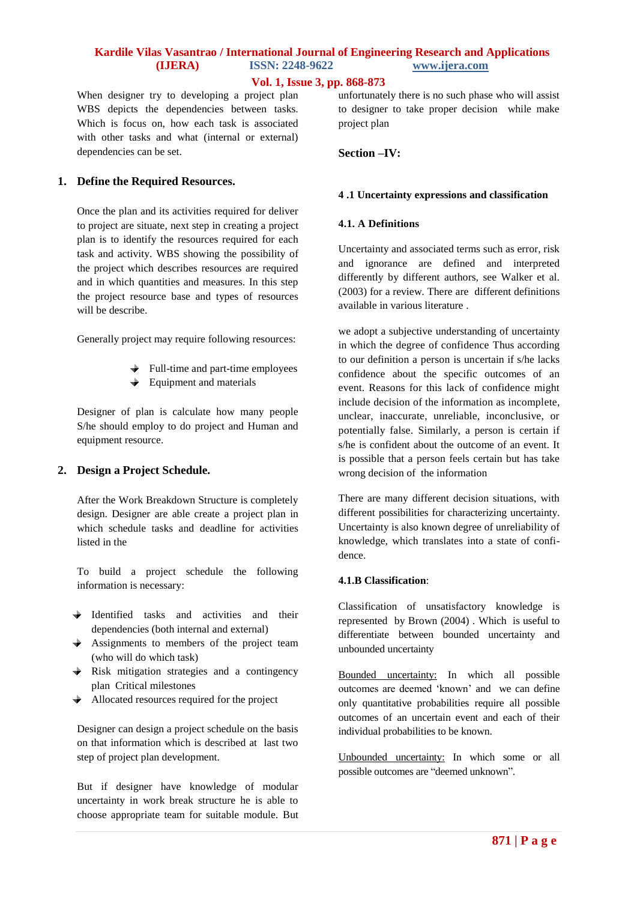### **Vol. 1, Issue 3, pp. 868-873**

When designer try to developing a project plan WBS depicts the dependencies between tasks. Which is focus on, how each task is associated with other tasks and what (internal or external) dependencies can be set.

## **1. Define the Required Resources.**

Once the plan and its activities required for deliver to project are situate, next step in creating a project plan is to identify the resources required for each task and activity. WBS showing the possibility of the project which describes resources are required and in which quantities and measures. In this step the project resource base and types of resources will be describe.

Generally project may require following resources:

- $\div$  Full-time and part-time employees
- $\rightarrow$  Equipment and materials

Designer of plan is calculate how many people S/he should employ to do project and Human and equipment resource.

## **2. Design a Project Schedule.**

After the Work Breakdown Structure is completely design. Designer are able create a project plan in which schedule tasks and deadline for activities listed in the

To build a project schedule the following information is necessary:

- Identified tasks and activities and their dependencies (both internal and external)
- $\rightarrow$  Assignments to members of the project team (who will do which task)
- $\blacktriangleright$  Risk mitigation strategies and a contingency plan Critical milestones
- Allocated resources required for the project

Designer can design a project schedule on the basis on that information which is described at last two step of project plan development.

But if designer have knowledge of modular uncertainty in work break structure he is able to choose appropriate team for suitable module. But unfortunately there is no such phase who will assist to designer to take proper decision while make project plan

**Section –IV:**

#### **4 .1 Uncertainty expressions and classification**

### **4.1. A Definitions**

Uncertainty and associated terms such as error, risk and ignorance are defined and interpreted differently by different authors, see Walker et al. (2003) for a review. There are different definitions available in various literature .

we adopt a subjective understanding of uncertainty in which the degree of confidence Thus according to our definition a person is uncertain if s/he lacks confidence about the specific outcomes of an event. Reasons for this lack of confidence might include decision of the information as incomplete, unclear, inaccurate, unreliable, inconclusive, or potentially false. Similarly, a person is certain if s/he is confident about the outcome of an event. It is possible that a person feels certain but has take wrong decision of the information

There are many different decision situations, with different possibilities for characterizing uncertainty. Uncertainty is also known degree of unreliability of knowledge, which translates into a state of confidence.

## **4.1.B Classification**:

Classification of unsatisfactory knowledge is represented by Brown (2004) . Which is useful to differentiate between bounded uncertainty and unbounded uncertainty

Bounded uncertainty: In which all possible outcomes are deemed ‗known' and we can define only quantitative probabilities require all possible outcomes of an uncertain event and each of their individual probabilities to be known.

Unbounded uncertainty: In which some or all possible outcomes are "deemed unknown".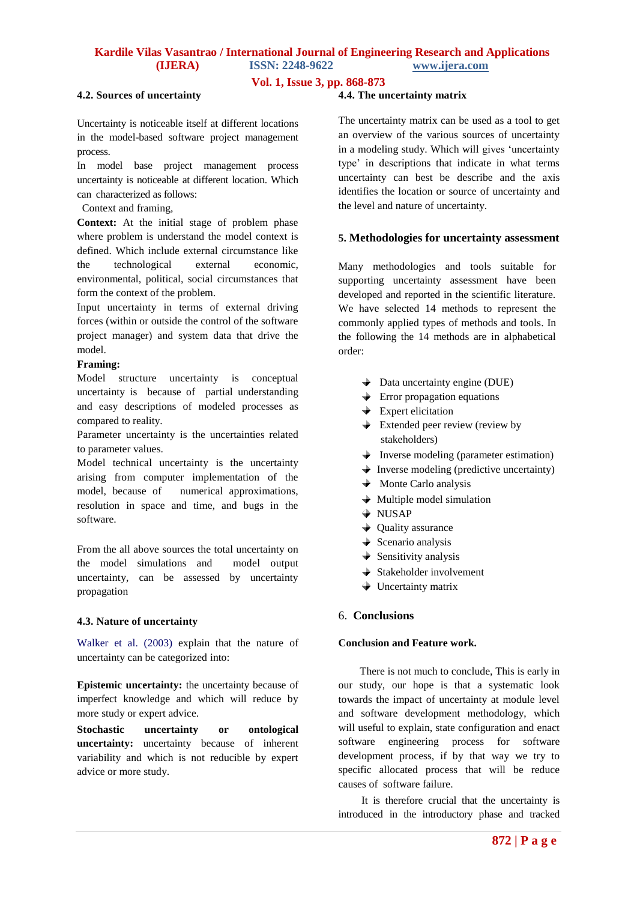#### **Vol. 1, Issue 3, pp. 868-873**

#### **4.2. Sources of uncertainty**

Uncertainty is noticeable itself at different locations in the model-based software project management process.

In model base project management process uncertainty is noticeable at different location. Which can characterized as follows:

Context and framing,

**Context:** At the initial stage of problem phase where problem is understand the model context is defined. Which include external circumstance like the technological external economic, environmental, political, social circumstances that form the context of the problem.

Input uncertainty in terms of external driving forces (within or outside the control of the software project manager) and system data that drive the model.

#### **Framing:**

Model structure uncertainty is conceptual uncertainty is because of partial understanding and easy descriptions of modeled processes as compared to reality.

Parameter uncertainty is the uncertainties related to parameter values.

Model technical uncertainty is the uncertainty arising from computer implementation of the model, because of numerical approximations, resolution in space and time, and bugs in the software.

From the all above sources the total uncertainty on the model simulations and model output uncertainty, can be assessed by uncertainty propagation

#### **4.3. Nature of uncertainty**

Walker et al. (2003) explain that the nature of uncertainty can be categorized into:

**Epistemic uncertainty:** the uncertainty because of imperfect knowledge and which will reduce by more study or expert advice.

**Stochastic uncertainty or ontological uncertainty:** uncertainty because of inherent variability and which is not reducible by expert advice or more study.

#### **4.4. The uncertainty matrix**

The uncertainty matrix can be used as a tool to get an overview of the various sources of uncertainty in a modeling study. Which will gives 'uncertainty type' in descriptions that indicate in what terms uncertainty can best be describe and the axis identifies the location or source of uncertainty and the level and nature of uncertainty.

### **5. Methodologies for uncertainty assessment**

Many methodologies and tools suitable for supporting uncertainty assessment have been developed and reported in the scientific literature. We have selected 14 methods to represent the commonly applied types of methods and tools. In the following the 14 methods are in alphabetical order:

- $\rightarrow$  Data uncertainty engine (DUE)
- $\div$  Error propagation equations
- $\rightarrow$  Expert elicitation
- $\rightarrow$  Extended peer review (review by stakeholders)
- $\rightarrow$  Inverse modeling (parameter estimation)
- $\rightarrow$  Inverse modeling (predictive uncertainty)
- $\rightarrow$  Monte Carlo analysis
- $\rightarrow$  Multiple model simulation
- $\rightarrow$  NUSAP
- $\rightarrow$  Quality assurance
- $\rightarrow$  Scenario analysis
- $\rightarrow$  Sensitivity analysis
- $\rightarrow$  Stakeholder involvement
- $\rightarrow$  Uncertainty matrix

### 6. **Conclusions**

#### **Conclusion and Feature work.**

 There is not much to conclude, This is early in our study, our hope is that a systematic look towards the impact of uncertainty at module level and software development methodology, which will useful to explain, state configuration and enact software engineering process for software development process, if by that way we try to specific allocated process that will be reduce causes of software failure.

 It is therefore crucial that the uncertainty is introduced in the introductory phase and tracked